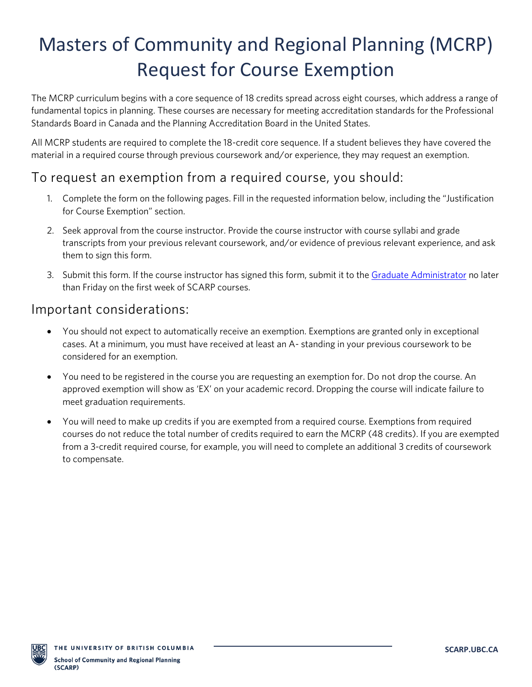# Masters of Community and Regional Planning (MCRP) Request for Course Exemption

The MCRP curriculum begins with a core sequence of 18 credits spread across eight courses, which address a range of fundamental topics in planning. These courses are necessary for meeting accreditation standards for the Professional Standards Board in Canada and the Planning Accreditation Board in the United States.

All MCRP students are required to complete the 18-credit core sequence. If a student believes they have covered the material in a required course through previous coursework and/or experience, they may request an exemption.

### To request an exemption from a required course, you should:

- 1. Complete the form on the following pages. Fill in the requested information below, including the "Justification for Course Exemption" section.
- 2. Seek approval from the course instructor. Provide the course instructor with course syllabi and grade transcripts from your previous relevant coursework, and/or evidence of previous relevant experience, and ask them to sign this form.
- 3. Submit this form. If the course instructor has signed this form, submit it to th[e Graduate Administrator](mailto:grad.scarp@ubc.ca) no later than Friday on the first week of SCARP courses.

#### Important considerations:

- You should not expect to automatically receive an exemption. Exemptions are granted only in exceptional cases. At a minimum, you must have received at least an A- standing in your previous coursework to be considered for an exemption.
- You need to be registered in the course you are requesting an exemption for. Do not drop the course. An approved exemption will show as 'EX' on your academic record. Dropping the course will indicate failure to meet graduation requirements.
- You will need to make up credits if you are exempted from a required course. Exemptions from required courses do not reduce the total number of credits required to earn the MCRP (48 credits). If you are exempted from a 3-credit required course, for example, you will need to complete an additional 3 credits of coursework to compensate.

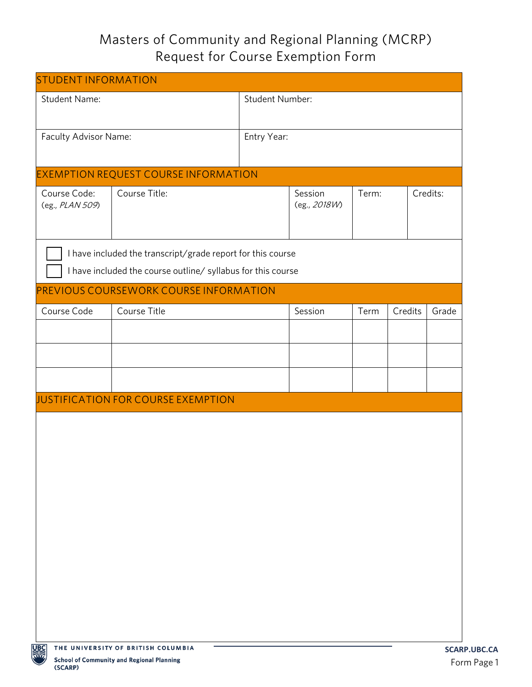# Masters of Community and Regional Planning (MCRP) Request for Course Exemption Form

| <b>STUDENT INFORMATION</b>                                  |                                                                                        |                 |              |       |          |             |  |  |
|-------------------------------------------------------------|----------------------------------------------------------------------------------------|-----------------|--------------|-------|----------|-------------|--|--|
| <b>Student Name:</b>                                        |                                                                                        | Student Number: |              |       |          |             |  |  |
|                                                             |                                                                                        |                 |              |       |          |             |  |  |
| Faculty Advisor Name:                                       |                                                                                        | Entry Year:     |              |       |          |             |  |  |
|                                                             |                                                                                        |                 |              |       |          |             |  |  |
| <b>EXEMPTION REQUEST COURSE INFORMATION</b>                 |                                                                                        |                 |              |       |          |             |  |  |
| Course Code:                                                | Course Title:                                                                          |                 | Session      | Term: | Credits: |             |  |  |
| (eg., PLAN 509)                                             |                                                                                        |                 | (eg., 2018W) |       |          |             |  |  |
|                                                             |                                                                                        |                 |              |       |          |             |  |  |
| I have included the transcript/grade report for this course |                                                                                        |                 |              |       |          |             |  |  |
|                                                             | I have included the course outline/ syllabus for this course                           |                 |              |       |          |             |  |  |
| PREVIOUS COURSEWORK COURSE INFORMATION                      |                                                                                        |                 |              |       |          |             |  |  |
| Course Code                                                 | Course Title                                                                           |                 | Session      | Term  | Credits  | Grade       |  |  |
|                                                             |                                                                                        |                 |              |       |          |             |  |  |
|                                                             |                                                                                        |                 |              |       |          |             |  |  |
|                                                             |                                                                                        |                 |              |       |          |             |  |  |
|                                                             |                                                                                        |                 |              |       |          |             |  |  |
|                                                             | JUSTIFICATION FOR COURSE EXEMPTION                                                     |                 |              |       |          |             |  |  |
|                                                             |                                                                                        |                 |              |       |          |             |  |  |
|                                                             |                                                                                        |                 |              |       |          |             |  |  |
|                                                             |                                                                                        |                 |              |       |          |             |  |  |
|                                                             |                                                                                        |                 |              |       |          |             |  |  |
|                                                             |                                                                                        |                 |              |       |          |             |  |  |
|                                                             |                                                                                        |                 |              |       |          |             |  |  |
|                                                             |                                                                                        |                 |              |       |          |             |  |  |
|                                                             |                                                                                        |                 |              |       |          |             |  |  |
|                                                             |                                                                                        |                 |              |       |          |             |  |  |
|                                                             |                                                                                        |                 |              |       |          |             |  |  |
|                                                             |                                                                                        |                 |              |       |          |             |  |  |
|                                                             |                                                                                        |                 |              |       |          |             |  |  |
|                                                             |                                                                                        |                 |              |       |          |             |  |  |
| UBC                                                         | THE UNIVERSITY OF BRITISH COLUMBIA<br><b>School of Community and Regional Planning</b> |                 |              |       |          | <b>SCAR</b> |  |  |

(SCARP)